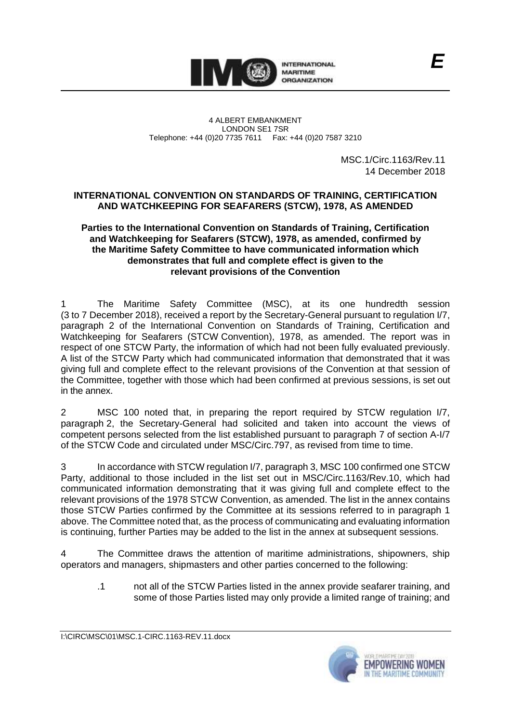

4 ALBERT EMBANKMENT LONDON SE1 7SR Telephone: +44 (0)20 7735 7611 Fax: +44 (0)20 7587 3210

> MSC.1/Circ.1163/Rev.11 14 December 2018

## **INTERNATIONAL CONVENTION ON STANDARDS OF TRAINING, CERTIFICATION AND WATCHKEEPING FOR SEAFARERS (STCW), 1978, AS AMENDED**

## **Parties to the International Convention on Standards of Training, Certification and Watchkeeping for Seafarers (STCW), 1978, as amended, confirmed by the Maritime Safety Committee to have communicated information which demonstrates that full and complete effect is given to the relevant provisions of the Convention**

1 The Maritime Safety Committee (MSC), at its one hundredth session (3 to 7 December 2018), received a report by the Secretary-General pursuant to regulation I/7, paragraph 2 of the International Convention on Standards of Training, Certification and Watchkeeping for Seafarers (STCW Convention), 1978, as amended. The report was in respect of one STCW Party, the information of which had not been fully evaluated previously. A list of the STCW Party which had communicated information that demonstrated that it was giving full and complete effect to the relevant provisions of the Convention at that session of the Committee, together with those which had been confirmed at previous sessions, is set out in the annex.

2 MSC 100 noted that, in preparing the report required by STCW regulation I/7, paragraph 2, the Secretary-General had solicited and taken into account the views of competent persons selected from the list established pursuant to paragraph 7 of section A-I/7 of the STCW Code and circulated under MSC/Circ.797, as revised from time to time.

3 In accordance with STCW regulation I/7, paragraph 3, MSC 100 confirmed one STCW Party, additional to those included in the list set out in MSC/Circ.1163/Rev.10, which had communicated information demonstrating that it was giving full and complete effect to the relevant provisions of the 1978 STCW Convention, as amended. The list in the annex contains those STCW Parties confirmed by the Committee at its sessions referred to in paragraph 1 above. The Committee noted that, as the process of communicating and evaluating information is continuing, further Parties may be added to the list in the annex at subsequent sessions.

4 The Committee draws the attention of maritime administrations, shipowners, ship operators and managers, shipmasters and other parties concerned to the following:

.1 not all of the STCW Parties listed in the annex provide seafarer training, and some of those Parties listed may only provide a limited range of training; and

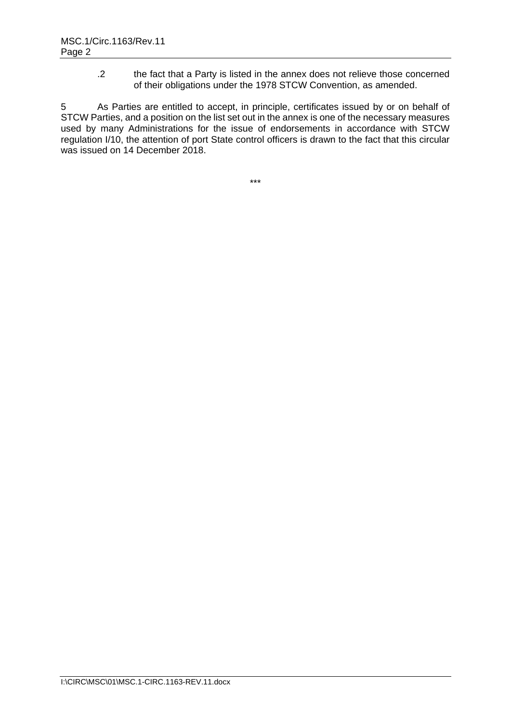.2 the fact that a Party is listed in the annex does not relieve those concerned of their obligations under the 1978 STCW Convention, as amended.

5 As Parties are entitled to accept, in principle, certificates issued by or on behalf of STCW Parties, and a position on the list set out in the annex is one of the necessary measures used by many Administrations for the issue of endorsements in accordance with STCW regulation I/10, the attention of port State control officers is drawn to the fact that this circular was issued on 14 December 2018.

\*\*\*